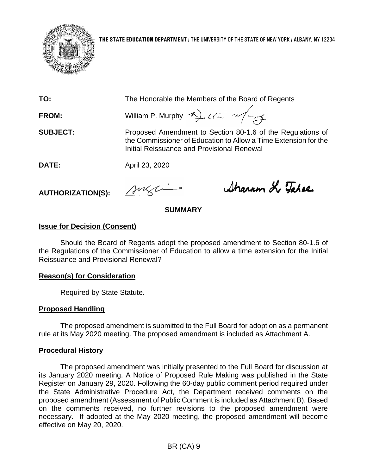

**THE STATE EDUCATION DEPARTMENT** / THE UNIVERSITY OF THE STATE OF NEW YORK / ALBANY, NY 12234

**TO:** The Honorable the Members of the Board of Regents

**FROM:** William P. Murphy 4) ULL 2/4

**SUBJECT:** Proposed Amendment to Section 80-1.6 of the Regulations of the Commissioner of Education to Allow a Time Extension for the Initial Reissuance and Provisional Renewal

**DATE:** April 23, 2020

**AUTHORIZATION(S):**

suzi

Sharron Le Tahae

## **SUMMARY**

# **Issue for Decision (Consent)**

Should the Board of Regents adopt the proposed amendment to Section 80-1.6 of the Regulations of the Commissioner of Education to allow a time extension for the Initial Reissuance and Provisional Renewal?

## **Reason(s) for Consideration**

Required by State Statute.

# **Proposed Handling**

The proposed amendment is submitted to the Full Board for adoption as a permanent rule at its May 2020 meeting. The proposed amendment is included as Attachment A.

# **Procedural History**

The proposed amendment was initially presented to the Full Board for discussion at its January 2020 meeting. A Notice of Proposed Rule Making was published in the State Register on January 29, 2020. Following the 60-day public comment period required under the State Administrative Procedure Act, the Department received comments on the proposed amendment (Assessment of Public Comment is included as Attachment B). Based on the comments received, no further revisions to the proposed amendment were necessary. If adopted at the May 2020 meeting, the proposed amendment will become effective on May 20, 2020.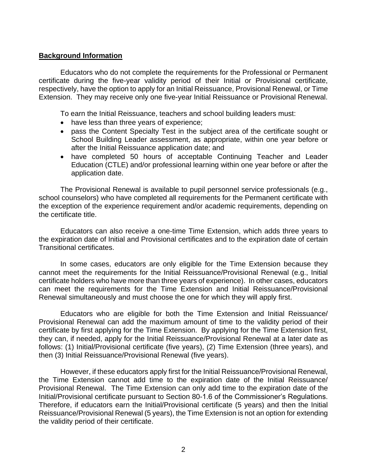#### **Background Information**

Educators who do not complete the requirements for the Professional or Permanent certificate during the five-year validity period of their Initial or Provisional certificate, respectively, have the option to apply for an Initial Reissuance, Provisional Renewal, or Time Extension. They may receive only one five-year Initial Reissuance or Provisional Renewal.

To earn the Initial Reissuance, teachers and school building leaders must:

- have less than three years of experience;
- pass the Content Specialty Test in the subject area of the certificate sought or School Building Leader assessment, as appropriate, within one year before or after the Initial Reissuance application date; and
- have completed 50 hours of acceptable Continuing Teacher and Leader Education (CTLE) and/or professional learning within one year before or after the application date.

The Provisional Renewal is available to pupil personnel service professionals (e.g., school counselors) who have completed all requirements for the Permanent certificate with the exception of the experience requirement and/or academic requirements, depending on the certificate title.

Educators can also receive a one-time Time Extension, which adds three years to the expiration date of Initial and Provisional certificates and to the expiration date of certain Transitional certificates.

In some cases, educators are only eligible for the Time Extension because they cannot meet the requirements for the Initial Reissuance/Provisional Renewal (e.g., Initial certificate holders who have more than three years of experience). In other cases, educators can meet the requirements for the Time Extension and Initial Reissuance/Provisional Renewal simultaneously and must choose the one for which they will apply first.

Educators who are eligible for both the Time Extension and Initial Reissuance/ Provisional Renewal can add the maximum amount of time to the validity period of their certificate by first applying for the Time Extension. By applying for the Time Extension first, they can, if needed, apply for the Initial Reissuance/Provisional Renewal at a later date as follows: (1) Initial/Provisional certificate (five years), (2) Time Extension (three years), and then (3) Initial Reissuance/Provisional Renewal (five years).

However, if these educators apply first for the Initial Reissuance/Provisional Renewal, the Time Extension cannot add time to the expiration date of the Initial Reissuance/ Provisional Renewal. The Time Extension can only add time to the expiration date of the Initial/Provisional certificate pursuant to Section 80-1.6 of the Commissioner's Regulations. Therefore, if educators earn the Initial/Provisional certificate (5 years) and then the Initial Reissuance/Provisional Renewal (5 years), the Time Extension is not an option for extending the validity period of their certificate.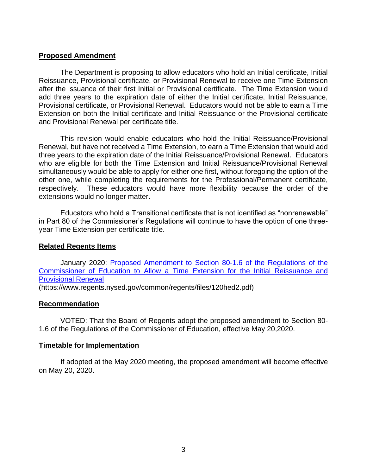## **Proposed Amendment**

The Department is proposing to allow educators who hold an Initial certificate, Initial Reissuance, Provisional certificate, or Provisional Renewal to receive one Time Extension after the issuance of their first Initial or Provisional certificate. The Time Extension would add three years to the expiration date of either the Initial certificate, Initial Reissuance, Provisional certificate, or Provisional Renewal. Educators would not be able to earn a Time Extension on both the Initial certificate and Initial Reissuance or the Provisional certificate and Provisional Renewal per certificate title.

This revision would enable educators who hold the Initial Reissuance/Provisional Renewal, but have not received a Time Extension, to earn a Time Extension that would add three years to the expiration date of the Initial Reissuance/Provisional Renewal. Educators who are eligible for both the Time Extension and Initial Reissuance/Provisional Renewal simultaneously would be able to apply for either one first, without foregoing the option of the other one, while completing the requirements for the Professional/Permanent certificate, respectively. These educators would have more flexibility because the order of the extensions would no longer matter.

Educators who hold a Transitional certificate that is not identified as "nonrenewable" in Part 80 of the Commissioner's Regulations will continue to have the option of one threeyear Time Extension per certificate title.

## **Related Regents Items**

January 2020: [Proposed Amendment to Section 80-1.6 of the Regulations of the](https://www.regents.nysed.gov/common/regents/files/120hed2.pdf)  [Commissioner of Education to Allow a Time Extension for the Initial Reissuance and](https://www.regents.nysed.gov/common/regents/files/120hed2.pdf)  [Provisional Renewal](https://www.regents.nysed.gov/common/regents/files/120hed2.pdf)

(https://www.regents.nysed.gov/common/regents/files/120hed2.pdf)

## **Recommendation**

VOTED: That the Board of Regents adopt the proposed amendment to Section 80- 1.6 of the Regulations of the Commissioner of Education, effective May 20,2020.

## **Timetable for Implementation**

If adopted at the May 2020 meeting, the proposed amendment will become effective on May 20, 2020.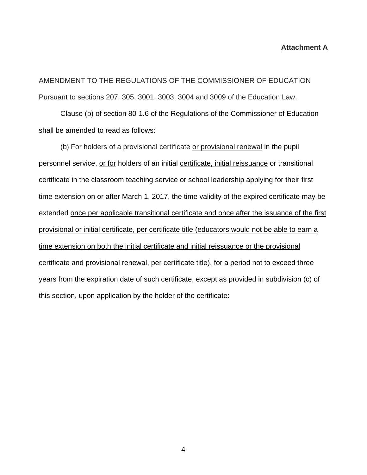#### **Attachment A**

AMENDMENT TO THE REGULATIONS OF THE COMMISSIONER OF EDUCATION Pursuant to sections 207, 305, 3001, 3003, 3004 and 3009 of the Education Law.

Clause (b) of section 80-1.6 of the Regulations of the Commissioner of Education shall be amended to read as follows:

(b) For holders of a provisional certificate or provisional renewal in the pupil personnel service, or for holders of an initial certificate, initial reissuance or transitional certificate in the classroom teaching service or school leadership applying for their first time extension on or after March 1, 2017, the time validity of the expired certificate may be extended once per applicable transitional certificate and once after the issuance of the first provisional or initial certificate, per certificate title (educators would not be able to earn a time extension on both the initial certificate and initial reissuance or the provisional certificate and provisional renewal, per certificate title), for a period not to exceed three years from the expiration date of such certificate, except as provided in subdivision (c) of this section, upon application by the holder of the certificate: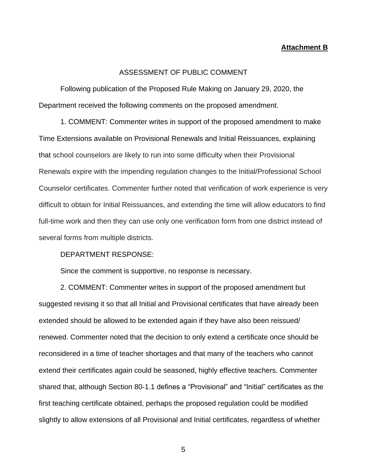#### **Attachment B**

#### ASSESSMENT OF PUBLIC COMMENT

Following publication of the Proposed Rule Making on January 29, 2020, the Department received the following comments on the proposed amendment.

1. COMMENT: Commenter writes in support of the proposed amendment to make Time Extensions available on Provisional Renewals and Initial Reissuances, explaining that school counselors are likely to run into some difficulty when their Provisional Renewals expire with the impending regulation changes to the Initial/Professional School Counselor certificates. Commenter further noted that verification of work experience is very difficult to obtain for Initial Reissuances, and extending the time will allow educators to find full-time work and then they can use only one verification form from one district instead of several forms from multiple districts.

#### DEPARTMENT RESPONSE:

Since the comment is supportive, no response is necessary.

2. COMMENT: Commenter writes in support of the proposed amendment but suggested revising it so that all Initial and Provisional certificates that have already been extended should be allowed to be extended again if they have also been reissued/ renewed. Commenter noted that the decision to only extend a certificate once should be reconsidered in a time of teacher shortages and that many of the teachers who cannot extend their certificates again could be seasoned, highly effective teachers. Commenter shared that, although Section 80-1.1 defines a "Provisional" and "Initial" certificates as the first teaching certificate obtained, perhaps the proposed regulation could be modified slightly to allow extensions of all Provisional and Initial certificates, regardless of whether

5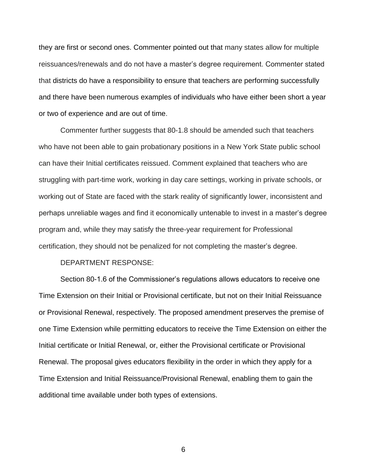they are first or second ones. Commenter pointed out that many states allow for multiple reissuances/renewals and do not have a master's degree requirement. Commenter stated that districts do have a responsibility to ensure that teachers are performing successfully and there have been numerous examples of individuals who have either been short a year or two of experience and are out of time.

Commenter further suggests that 80-1.8 should be amended such that teachers who have not been able to gain probationary positions in a New York State public school can have their Initial certificates reissued. Comment explained that teachers who are struggling with part-time work, working in day care settings, working in private schools, or working out of State are faced with the stark reality of significantly lower, inconsistent and perhaps unreliable wages and find it economically untenable to invest in a master's degree program and, while they may satisfy the three-year requirement for Professional certification, they should not be penalized for not completing the master's degree.

#### DEPARTMENT RESPONSE:

Section 80-1.6 of the Commissioner's regulations allows educators to receive one Time Extension on their Initial or Provisional certificate, but not on their Initial Reissuance or Provisional Renewal, respectively. The proposed amendment preserves the premise of one Time Extension while permitting educators to receive the Time Extension on either the Initial certificate or Initial Renewal, or, either the Provisional certificate or Provisional Renewal. The proposal gives educators flexibility in the order in which they apply for a Time Extension and Initial Reissuance/Provisional Renewal, enabling them to gain the additional time available under both types of extensions.

6